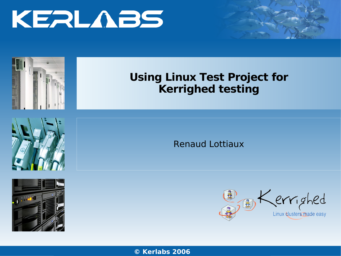



## **Using Linux Test Project for Kerrighed testing**





**Renaud Lottiaux** 



© Kerlabs 2006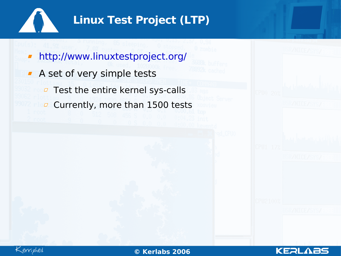

## **Linux Test Project (LTP)**

- <http://www.linuxtestproject.org/>  $\blacksquare$
- A set of very simple tests
	- **Test the entire kernel sys-calls**
	- Currently, more than 1500 tests $\Box$



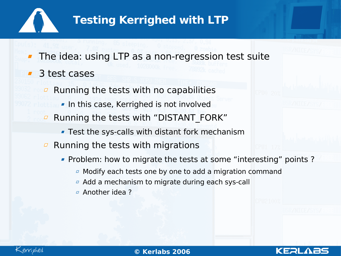

## **Testing Kerrighed with LTP**

- The idea: using LTP as a non-regression test suite
- 3 test cases
	- Running the tests with no capabilities  $\Box$ 
		- **In this case, Kerrighed is not involved**
	- Running the tests with "DISTANT\_FORK"  $\varpi$ 
		- Test the sys-calls with distant fork mechanism
	- Running the tests with migrations  $\Box$ 
		- Problem: how to migrate the tests at some "interesting" points ?

KERL

- $\overline{a}$  Modify each tests one by one to add a migration command
- Add a mechanism to migrate during each sys-call
- Another idea ?



02/0**©** 5/07**Ker** www.kerlabs.com 3 **labs 2006**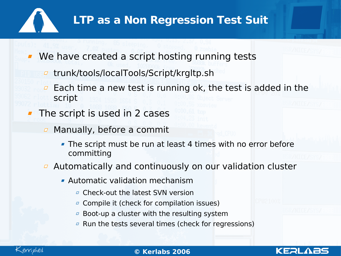

## **LTP as a Non Regression Test Suit**

We have created a script hosting running tests

- trunk/tools/localTools/Script/krgltp.sh
- Each time a new test is running ok, the test is added in the  $\varpi$ script
- The script is used in 2 cases
	- $\Box$  Manually, before a commit
		- The script must be run at least 4 times with no error before committing
	- $\overline{a}$  Automatically and continuously on our validation cluster
		- Automatic validation mechanism
			- **E** Check-out the latest SVN version
			- *a* Compile it (check for compilation issues)
			- $\overline{a}$  Boot-up a cluster with the resulting system
			- $\sigma$  Run the tests several times (check for regressions)



02/0**©** 5/07**Ker** www.kerlabs.com 4 **labs 2006**

KERI